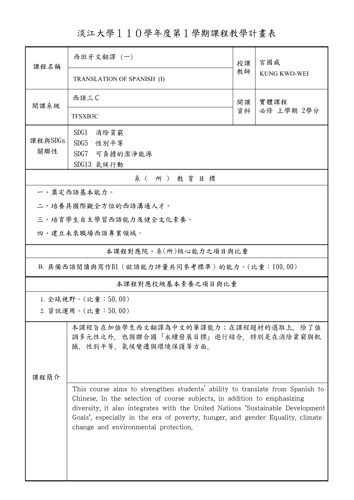淡江大學110學年度第1學期課程教學計畫表

| 課程名稱                                         | 西班牙文翻譯 (一)                                                                                                                                                                                                                                                                                                                                                            |    | 宮國威                |  |  |  |
|----------------------------------------------|-----------------------------------------------------------------------------------------------------------------------------------------------------------------------------------------------------------------------------------------------------------------------------------------------------------------------------------------------------------------------|----|--------------------|--|--|--|
|                                              | <b>TRANSLATION OF SPANISH (I)</b>                                                                                                                                                                                                                                                                                                                                     | 教師 | KUNG KWO-WEI       |  |  |  |
| 開課系級                                         | 西語三C                                                                                                                                                                                                                                                                                                                                                                  | 開課 | 實體課程<br>必修 上學期 2學分 |  |  |  |
|                                              | TFSXB3C                                                                                                                                                                                                                                                                                                                                                               | 資料 |                    |  |  |  |
| 課程與SDGs                                      | SDG1<br>消除貧窮                                                                                                                                                                                                                                                                                                                                                          |    |                    |  |  |  |
| 關聯性                                          | SDG5<br>性別平等<br>SDG7<br>可負擔的潔淨能源                                                                                                                                                                                                                                                                                                                                      |    |                    |  |  |  |
|                                              | SDG13 氣候行動                                                                                                                                                                                                                                                                                                                                                            |    |                    |  |  |  |
| 系(所)教育目標                                     |                                                                                                                                                                                                                                                                                                                                                                       |    |                    |  |  |  |
|                                              | 一、奠定西語基本能力。                                                                                                                                                                                                                                                                                                                                                           |    |                    |  |  |  |
|                                              | 二、培養具國際觀全方位的西語溝通人才。                                                                                                                                                                                                                                                                                                                                                   |    |                    |  |  |  |
|                                              | 三、培育學生自主學習西語能力及健全文化素養。                                                                                                                                                                                                                                                                                                                                                |    |                    |  |  |  |
| 四、建立未來職場西語專業領域。                              |                                                                                                                                                                                                                                                                                                                                                                       |    |                    |  |  |  |
| 本課程對應院、系(所)核心能力之項目與比重                        |                                                                                                                                                                                                                                                                                                                                                                       |    |                    |  |  |  |
| B. 具備西語閱讀與寫作B1 (歐語能力評量共同參考標準)的能力。(比重:100.00) |                                                                                                                                                                                                                                                                                                                                                                       |    |                    |  |  |  |
| 本課程對應校級基本素養之項目與比重                            |                                                                                                                                                                                                                                                                                                                                                                       |    |                    |  |  |  |
| 1. 全球視野。(比重:50.00)                           |                                                                                                                                                                                                                                                                                                                                                                       |    |                    |  |  |  |
| 2. 資訊運用。(比重:50.00)                           |                                                                                                                                                                                                                                                                                                                                                                       |    |                    |  |  |  |
|                                              | 本課程旨在加強學生西文翻譯為中文的筆譯能力;在課程題材的選取上,除了強<br>調多元性之外,也與聯合國「永續發展目標」進行結合,特別是在消除貧窮與飢<br>餓、性別平等、氣候變遷與環境保護等方面。                                                                                                                                                                                                                                                                    |    |                    |  |  |  |
| 課程簡介                                         |                                                                                                                                                                                                                                                                                                                                                                       |    |                    |  |  |  |
|                                              | This course aims to strengthen students' ability to translate from Spanish to<br>Chinese. In the selection of course subjects, in addition to emphasizing<br>diversity, it also integrates with the United Nations "Sustainable Development<br>Goals", especially in the era of poverty, hunger, and gender Equality, climate<br>change and environmental protection. |    |                    |  |  |  |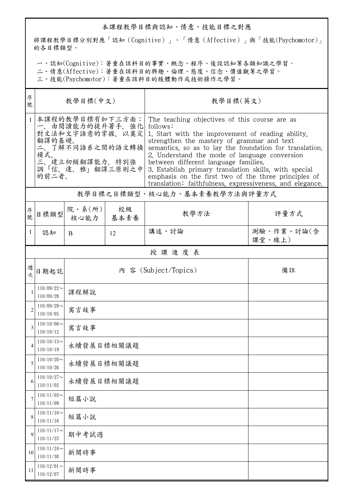## 本課程教學目標與認知、情意、技能目標之對應

將課程教學目標分別對應「認知(Cognitive)」、「情意(Affective)」與「技能(Psychomotor)」 的各目標類型。

一、認知(Cognitive):著重在該科目的事實、概念、程序、後設認知等各類知識之學習。

二、情意(Affective):著重在該科目的興趣、倫理、態度、信念、價值觀等之學習。

三、技能(Psychomotor):著重在該科目的肢體動作或技術操作之學習。

| 序<br>號         | 教學目標(中文)                                                                                                                                    |                          |            | 教學目標(英文)                                                                                                                                                                                                                                                                                                                                                                                                                                                                                      |                      |  |  |  |
|----------------|---------------------------------------------------------------------------------------------------------------------------------------------|--------------------------|------------|-----------------------------------------------------------------------------------------------------------------------------------------------------------------------------------------------------------------------------------------------------------------------------------------------------------------------------------------------------------------------------------------------------------------------------------------------------------------------------------------------|----------------------|--|--|--|
|                | 本課程的教學目標有如下三方面:<br>一、由閲讀能力的提升著手, 強化<br>對文法和文字語意的掌握, 以奠定<br>翻譯的基礎。<br>二、了解不同語系之間的語文轉換 <br>模式。<br>三、建立初級翻譯能力, 特別強<br>調「信、達、雅」翻譯三原則之中<br>的前二者。 |                          |            | The teaching objectives of this course are as<br>follows:<br>1. Start with the improvement of reading ability.<br>strengthen the mastery of grammar and text<br>semantics, so as to lay the foundation for translation.<br>2. Understand the mode of language conversion<br>between different language families.<br>3. Establish primary translation skills, with special<br>emphasis on the first two of the three principles of<br>translation: faithfulness, expressiveness, and elegance. |                      |  |  |  |
|                | 教學目標之目標類型、核心能力、基本素養教學方法與評量方式                                                                                                                |                          |            |                                                                                                                                                                                                                                                                                                                                                                                                                                                                                               |                      |  |  |  |
| 序<br>號         | 目標類型                                                                                                                                        | 院、系 $(\kappa)$  <br>核心能力 | 校級<br>基本素養 | 教學方法                                                                                                                                                                                                                                                                                                                                                                                                                                                                                          | 評量方式                 |  |  |  |
| 1              | 認知                                                                                                                                          | <sub>B</sub>             | 12         | 講述、討論                                                                                                                                                                                                                                                                                                                                                                                                                                                                                         | 測驗、作業、討論(含<br>課堂、線上) |  |  |  |
|                | 授課進度表                                                                                                                                       |                          |            |                                                                                                                                                                                                                                                                                                                                                                                                                                                                                               |                      |  |  |  |
| 週<br>次         | 日期起訖                                                                                                                                        |                          |            | 內 容 (Subject/Topics)                                                                                                                                                                                                                                                                                                                                                                                                                                                                          | 備註                   |  |  |  |
| 1              | $110/09/22$ ~<br>110/09/28                                                                                                                  | 課程解說                     |            |                                                                                                                                                                                                                                                                                                                                                                                                                                                                                               |                      |  |  |  |
| $\overline{2}$ | $110/09/29$ ~<br>110/10/05                                                                                                                  | 寓言故事                     |            |                                                                                                                                                                                                                                                                                                                                                                                                                                                                                               |                      |  |  |  |
| 3              | $110/10/06 \sim$<br>110/10/12                                                                                                               | 寓言故事                     |            |                                                                                                                                                                                                                                                                                                                                                                                                                                                                                               |                      |  |  |  |
|                | $110/10/13$ ~<br>110/10/19                                                                                                                  | 永續發展目標相關議題               |            |                                                                                                                                                                                                                                                                                                                                                                                                                                                                                               |                      |  |  |  |
| 5              | $110/10/20$ ~<br>110/10/26                                                                                                                  |                          | 永續發展目標相關議題 |                                                                                                                                                                                                                                                                                                                                                                                                                                                                                               |                      |  |  |  |
| 6              | $110/10/27$ ~<br>110/11/02                                                                                                                  | 永續發展目標相關議題               |            |                                                                                                                                                                                                                                                                                                                                                                                                                                                                                               |                      |  |  |  |
| 7              | $110/11/03$ ~<br>110/11/09                                                                                                                  | 短篇小說                     |            |                                                                                                                                                                                                                                                                                                                                                                                                                                                                                               |                      |  |  |  |
| 8              | $110/11/10$ ~<br>110/11/16                                                                                                                  | 短篇小說                     |            |                                                                                                                                                                                                                                                                                                                                                                                                                                                                                               |                      |  |  |  |
| 9              | $110/11/17$ ~<br>110/11/23                                                                                                                  | 期中考試週                    |            |                                                                                                                                                                                                                                                                                                                                                                                                                                                                                               |                      |  |  |  |
| 10             | $110/11/24$ ~<br>110/11/30                                                                                                                  | 新聞時事                     |            |                                                                                                                                                                                                                                                                                                                                                                                                                                                                                               |                      |  |  |  |
| 11             | $110/12/01$ ~<br>110/12/07                                                                                                                  | 新聞時事                     |            |                                                                                                                                                                                                                                                                                                                                                                                                                                                                                               |                      |  |  |  |